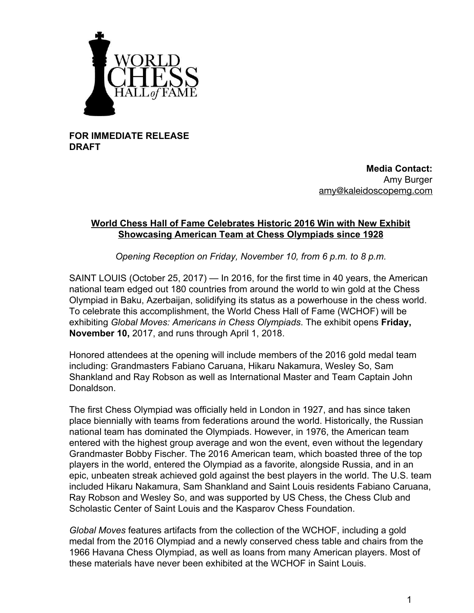

**FOR IMMEDIATE RELEASE DRAFT**

> **Media Contact:** Amy Burger [amy@kaleidoscopemg.com](mailto:amy@kaleidoscopemg.com)

## **World Chess Hall of Fame Celebrates Historic 2016 Win with New Exhibit Showcasing American Team at Chess Olympiads since 1928**

*Opening Reception on Friday, November 10, from 6 p.m. to 8 p.m.*

SAINT LOUIS (October 25, 2017) — In 2016, for the first time in 40 years, the American national team edged out 180 countries from around the world to win gold at the Chess Olympiad in Baku, Azerbaijan, solidifying its status as a powerhouse in the chess world. To celebrate this accomplishment, the World Chess Hall of Fame (WCHOF) will be exhibiting *Global Moves: Americans in Chess Olympiads*. The exhibit opens **Friday, November 10,** 2017, and runs through April 1, 2018.

Honored attendees at the opening will include members of the 2016 gold medal team including: Grandmasters Fabiano Caruana, Hikaru Nakamura, Wesley So, Sam Shankland and Ray Robson as well as International Master and Team Captain John Donaldson.

The first Chess Olympiad was officially held in London in 1927, and has since taken place biennially with teams from federations around the world. Historically, the Russian national team has dominated the Olympiads. However, in 1976, the American team entered with the highest group average and won the event, even without the legendary Grandmaster Bobby Fischer. The 2016 American team, which boasted three of the top players in the world, entered the Olympiad as a favorite, alongside Russia, and in an epic, unbeaten streak achieved gold against the best players in the world. The U.S. team included Hikaru Nakamura, Sam Shankland and Saint Louis residents Fabiano Caruana, Ray Robson and Wesley So, and was supported by US Chess, the Chess Club and Scholastic Center of Saint Louis and the Kasparov Chess Foundation.

*Global Moves* features artifacts from the collection of the WCHOF, including a gold medal from the 2016 Olympiad and a newly conserved chess table and chairs from the 1966 Havana Chess Olympiad, as well as loans from many American players. Most of these materials have never been exhibited at the WCHOF in Saint Louis.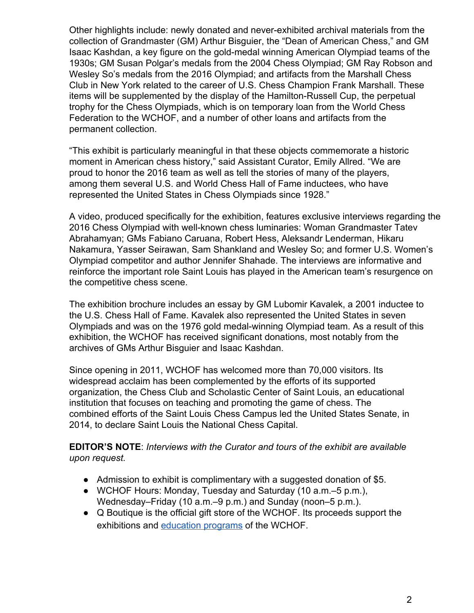Other highlights include: newly donated and never-exhibited archival materials from the collection of Grandmaster (GM) Arthur Bisguier, the "Dean of American Chess," and GM Isaac Kashdan, a key figure on the gold-medal winning American Olympiad teams of the 1930s; GM Susan Polgar's medals from the 2004 Chess Olympiad; GM Ray Robson and Wesley So's medals from the 2016 Olympiad; and artifacts from the Marshall Chess Club in New York related to the career of U.S. Chess Champion Frank Marshall. These items will be supplemented by the display of the Hamilton-Russell Cup, the perpetual trophy for the Chess Olympiads, which is on temporary loan from the World Chess Federation to the WCHOF, and a number of other loans and artifacts from the permanent collection.

"This exhibit is particularly meaningful in that these objects commemorate a historic moment in American chess history," said Assistant Curator, Emily Allred. "We are proud to honor the 2016 team as well as tell the stories of many of the players, among them several U.S. and World Chess Hall of Fame inductees, who have represented the United States in Chess Olympiads since 1928."

A video, produced specifically for the exhibition, features exclusive interviews regarding the 2016 Chess Olympiad with well-known chess luminaries: Woman Grandmaster Tatev Abrahamyan; GMs Fabiano Caruana, Robert Hess, Aleksandr Lenderman, Hikaru Nakamura, Yasser Seirawan, Sam Shankland and Wesley So; and former U.S. Women's Olympiad competitor and author Jennifer Shahade. The interviews are informative and reinforce the important role Saint Louis has played in the American team's resurgence on the competitive chess scene.

The exhibition brochure includes an essay by GM Lubomir Kavalek, a 2001 inductee to the U.S. Chess Hall of Fame. Kavalek also represented the United States in seven Olympiads and was on the 1976 gold medal-winning Olympiad team. As a result of this exhibition, the WCHOF has received significant donations, most notably from the archives of GMs Arthur Bisguier and Isaac Kashdan.

Since opening in 2011, WCHOF has welcomed more than 70,000 visitors. Its widespread acclaim has been complemented by the efforts of its supported organization, the Chess Club and Scholastic Center of Saint Louis, an educational institution that focuses on teaching and promoting the game of chess. The combined efforts of the Saint Louis Chess Campus led the United States Senate, in 2014, to declare Saint Louis the National Chess Capital.

**EDITOR'S NOTE**: *Interviews with the Curator and tours of the exhibit are available upon request.*

- Admission to exhibit is complimentary with a suggested donation of \$5.
- WCHOF Hours: Monday, Tuesday and Saturday (10 a.m.–5 p.m.), Wednesday–Friday (10 a.m.–9 p.m.) and Sunday (noon–5 p.m.).
- Q Boutique is the official gift store of the WCHOF. Its proceeds support the exhibitions and [education](https://www.qboutiquestl.com/pages/www.worldchesshof.org/outreach) programs of the WCHOF.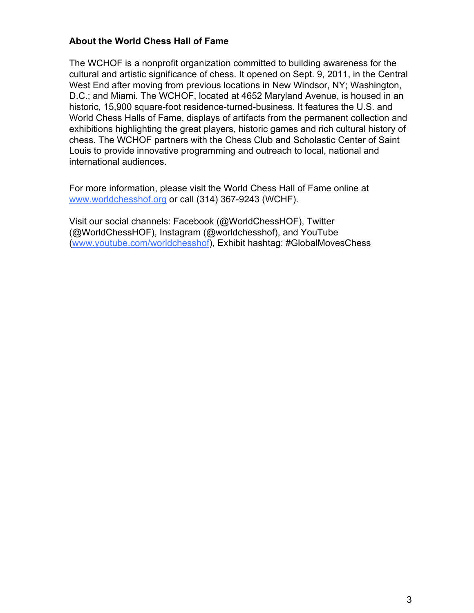## **About the World Chess Hall of Fame**

The WCHOF is a nonprofit organization committed to building awareness for the cultural and artistic significance of chess. It opened on Sept. 9, 2011, in the Central West End after moving from previous locations in New Windsor, NY; Washington, D.C.; and Miami. The WCHOF, located at 4652 Maryland Avenue, is housed in an historic, 15,900 square-foot residence-turned-business. It features the U.S. and World Chess Halls of Fame, displays of artifacts from the permanent collection and exhibitions highlighting the great players, historic games and rich cultural history of chess. The WCHOF partners with the Chess Club and Scholastic Center of Saint Louis to provide innovative programming and outreach to local, national and international audiences.

For more information, please visit the World Chess Hall of Fame online at [www.worldchesshof.org](http://www.worldchesshof.org/) or call (314) 367-9243 (WCHF).

Visit our social channels: Facebook (@WorldChessHOF), Twitter (@WorldChessHOF), Instagram (@worldchesshof), and YouTube [\(www.youtube.com/worldchesshof\)](http://www.youtube.com/worldchesshof), Exhibit hashtag: #GlobalMovesChess